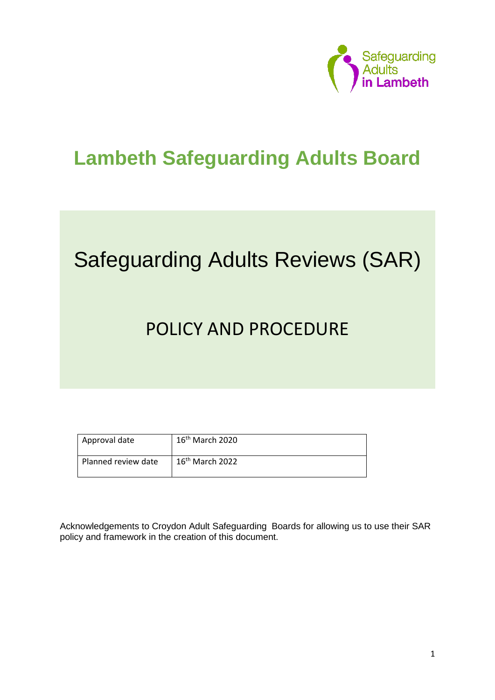

# **Lambeth Safeguarding Adults Board**

# Safeguarding Adults Reviews (SAR)

# POLICY AND PROCEDURE

| Approval date       | $16th$ March 2020 |
|---------------------|-------------------|
| Planned review date | $16th$ March 2022 |

Acknowledgements to Croydon Adult Safeguarding Boards for allowing us to use their SAR policy and framework in the creation of this document.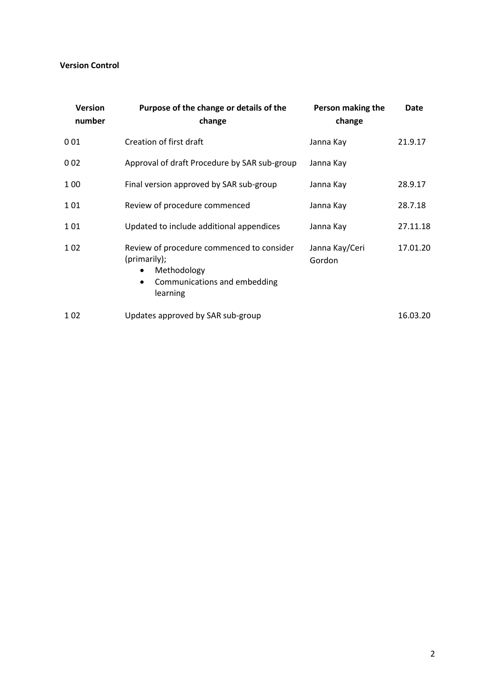#### **Version Control**

| <b>Version</b><br>number | Purpose of the change or details of the<br>change                                                                                              | Person making the<br>change | Date     |
|--------------------------|------------------------------------------------------------------------------------------------------------------------------------------------|-----------------------------|----------|
| 001                      | Creation of first draft                                                                                                                        | Janna Kay                   | 21.9.17  |
| 002                      | Approval of draft Procedure by SAR sub-group                                                                                                   | Janna Kay                   |          |
| 1 0 0                    | Final version approved by SAR sub-group                                                                                                        | Janna Kay                   | 28.9.17  |
| 101                      | Review of procedure commenced                                                                                                                  | Janna Kay                   | 28.7.18  |
| 101                      | Updated to include additional appendices                                                                                                       | Janna Kay                   | 27.11.18 |
| 102                      | Review of procedure commenced to consider<br>(primarily);<br>Methodology<br>$\bullet$<br>Communications and embedding<br>$\bullet$<br>learning | Janna Kay/Ceri<br>Gordon    | 17.01.20 |
| 1 0 2                    | Updates approved by SAR sub-group                                                                                                              |                             | 16.03.20 |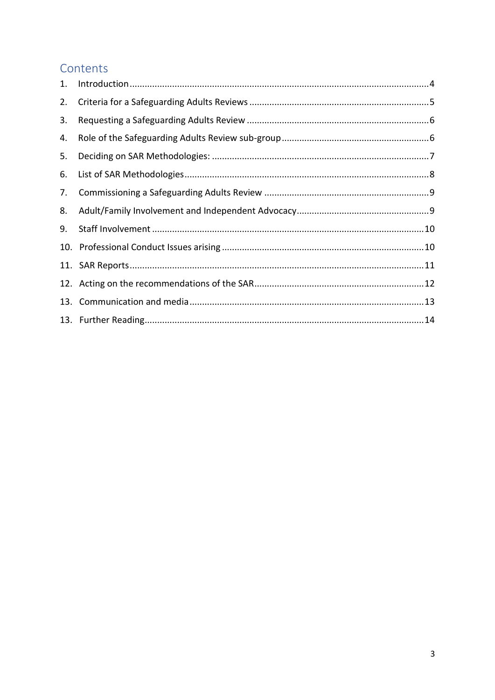# Contents

| 1. |  |
|----|--|
| 2. |  |
| 3. |  |
| 4. |  |
| 5. |  |
| 6. |  |
| 7. |  |
| 8. |  |
| 9. |  |
|    |  |
|    |  |
|    |  |
|    |  |
|    |  |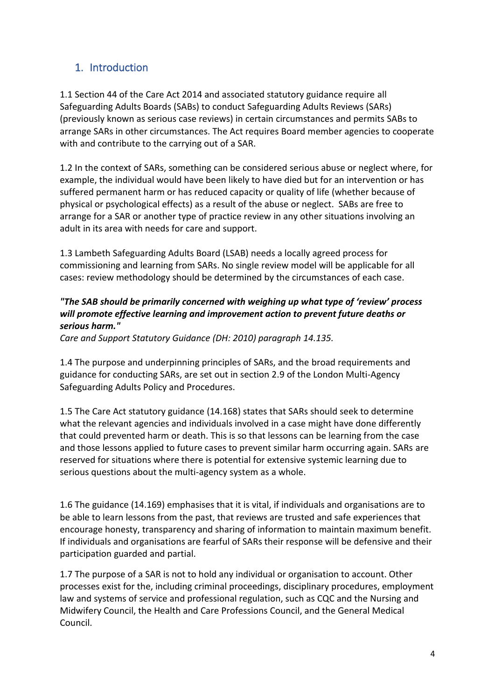# <span id="page-3-0"></span>1. Introduction

1.1 Section 44 of the Care Act 2014 and associated statutory guidance require all Safeguarding Adults Boards (SABs) to conduct Safeguarding Adults Reviews (SARs) (previously known as serious case reviews) in certain circumstances and permits SABs to arrange SARs in other circumstances. The Act requires Board member agencies to cooperate with and contribute to the carrying out of a SAR.

1.2 In the context of SARs, something can be considered serious abuse or neglect where, for example, the individual would have been likely to have died but for an intervention or has suffered permanent harm or has reduced capacity or quality of life (whether because of physical or psychological effects) as a result of the abuse or neglect. SABs are free to arrange for a SAR or another type of practice review in any other situations involving an adult in its area with needs for care and support.

1.3 Lambeth Safeguarding Adults Board (LSAB) needs a locally agreed process for commissioning and learning from SARs. No single review model will be applicable for all cases: review methodology should be determined by the circumstances of each case.

#### *"The SAB should be primarily concerned with weighing up what type of 'review' process will promote effective learning and improvement action to prevent future deaths or serious harm."*

*Care and Support Statutory Guidance (DH: 2010) paragraph 14.135.* 

1.4 The purpose and underpinning principles of SARs, and the broad requirements and guidance for conducting SARs, are set out in section 2.9 of the London Multi-Agency Safeguarding Adults Policy and Procedures.

1.5 The Care Act statutory guidance (14.168) states that SARs should seek to determine what the relevant agencies and individuals involved in a case might have done differently that could prevented harm or death. This is so that lessons can be learning from the case and those lessons applied to future cases to prevent similar harm occurring again. SARs are reserved for situations where there is potential for extensive systemic learning due to serious questions about the multi-agency system as a whole.

1.6 The guidance (14.169) emphasises that it is vital, if individuals and organisations are to be able to learn lessons from the past, that reviews are trusted and safe experiences that encourage honesty, transparency and sharing of information to maintain maximum benefit. If individuals and organisations are fearful of SARs their response will be defensive and their participation guarded and partial.

1.7 The purpose of a SAR is not to hold any individual or organisation to account. Other processes exist for the, including criminal proceedings, disciplinary procedures, employment law and systems of service and professional regulation, such as CQC and the Nursing and Midwifery Council, the Health and Care Professions Council, and the General Medical Council.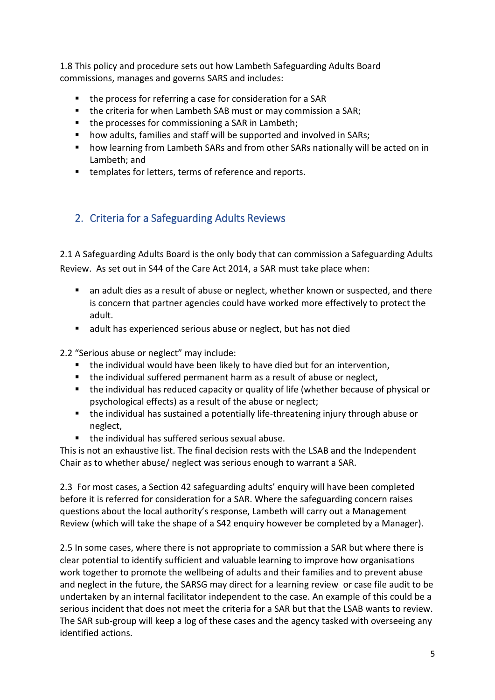1.8 This policy and procedure sets out how Lambeth Safeguarding Adults Board commissions, manages and governs SARS and includes:

- the process for referring a case for consideration for a SAR
- the criteria for when Lambeth SAB must or may commission a SAR;
- the processes for commissioning a SAR in Lambeth;
- how adults, families and staff will be supported and involved in SARs:
- how learning from Lambeth SARs and from other SARs nationally will be acted on in Lambeth; and
- templates for letters, terms of reference and reports.

#### <span id="page-4-0"></span>2. Criteria for a Safeguarding Adults Reviews

2.1 A Safeguarding Adults Board is the only body that can commission a Safeguarding Adults Review. As set out in S44 of the Care Act 2014, a SAR must take place when:

- an adult dies as a result of abuse or neglect, whether known or suspected, and there is concern that partner agencies could have worked more effectively to protect the adult.
- adult has experienced serious abuse or neglect, but has not died

2.2 "Serious abuse or neglect" may include:

- the individual would have been likely to have died but for an intervention,
- the individual suffered permanent harm as a result of abuse or neglect,
- the individual has reduced capacity or quality of life (whether because of physical or psychological effects) as a result of the abuse or neglect;
- the individual has sustained a potentially life-threatening injury through abuse or neglect,
- the individual has suffered serious sexual abuse.

This is not an exhaustive list. The final decision rests with the LSAB and the Independent Chair as to whether abuse/ neglect was serious enough to warrant a SAR.

2.3 For most cases, a Section 42 safeguarding adults' enquiry will have been completed before it is referred for consideration for a SAR. Where the safeguarding concern raises questions about the local authority's response, Lambeth will carry out a Management Review (which will take the shape of a S42 enquiry however be completed by a Manager).

2.5 In some cases, where there is not appropriate to commission a SAR but where there is clear potential to identify sufficient and valuable learning to improve how organisations work together to promote the wellbeing of adults and their families and to prevent abuse and neglect in the future, the SARSG may direct for a learning review or case file audit to be undertaken by an internal facilitator independent to the case. An example of this could be a serious incident that does not meet the criteria for a SAR but that the LSAB wants to review. The SAR sub-group will keep a log of these cases and the agency tasked with overseeing any identified actions.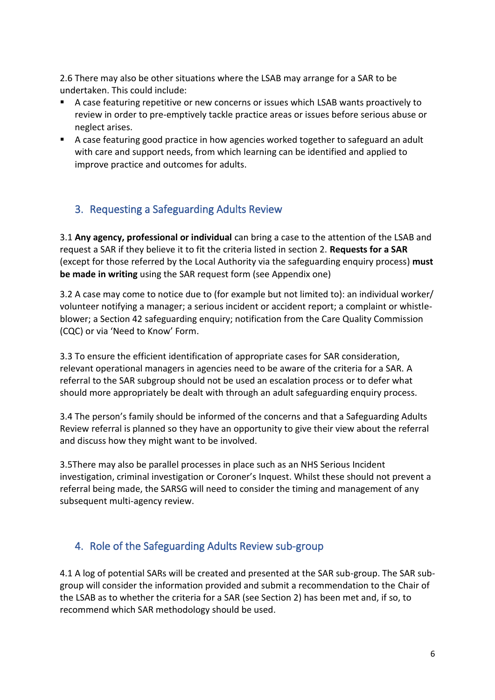2.6 There may also be other situations where the LSAB may arrange for a SAR to be undertaken. This could include:

- A case featuring repetitive or new concerns or issues which LSAB wants proactively to review in order to pre-emptively tackle practice areas or issues before serious abuse or neglect arises.
- A case featuring good practice in how agencies worked together to safeguard an adult with care and support needs, from which learning can be identified and applied to improve practice and outcomes for adults.

## <span id="page-5-0"></span>3. Requesting a Safeguarding Adults Review

3.1 **Any agency, professional or individual** can bring a case to the attention of the LSAB and request a SAR if they believe it to fit the criteria listed in section 2. **Requests for a SAR**  (except for those referred by the Local Authority via the safeguarding enquiry process) **must be made in writing** using the SAR request form (see Appendix one)

3.2 A case may come to notice due to (for example but not limited to): an individual worker/ volunteer notifying a manager; a serious incident or accident report; a complaint or whistleblower; a Section 42 safeguarding enquiry; notification from the Care Quality Commission (CQC) or via 'Need to Know' Form.

3.3 To ensure the efficient identification of appropriate cases for SAR consideration, relevant operational managers in agencies need to be aware of the criteria for a SAR. A referral to the SAR subgroup should not be used an escalation process or to defer what should more appropriately be dealt with through an adult safeguarding enquiry process.

3.4 The person's family should be informed of the concerns and that a Safeguarding Adults Review referral is planned so they have an opportunity to give their view about the referral and discuss how they might want to be involved.

3.5There may also be parallel processes in place such as an NHS Serious Incident investigation, criminal investigation or Coroner's Inquest. Whilst these should not prevent a referral being made, the SARSG will need to consider the timing and management of any subsequent multi-agency review.

#### <span id="page-5-1"></span>4. Role of the Safeguarding Adults Review sub-group

4.1 A log of potential SARs will be created and presented at the SAR sub-group. The SAR subgroup will consider the information provided and submit a recommendation to the Chair of the LSAB as to whether the criteria for a SAR (see Section 2) has been met and, if so, to recommend which SAR methodology should be used.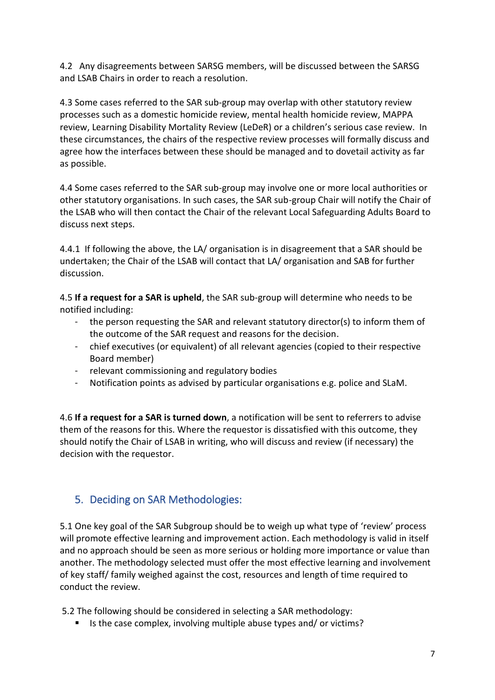4.2 Any disagreements between SARSG members, will be discussed between the SARSG and LSAB Chairs in order to reach a resolution.

4.3 Some cases referred to the SAR sub-group may overlap with other statutory review processes such as a domestic homicide review, mental health homicide review, MAPPA review, Learning Disability Mortality Review (LeDeR) or a children's serious case review. In these circumstances, the chairs of the respective review processes will formally discuss and agree how the interfaces between these should be managed and to dovetail activity as far as possible.

4.4 Some cases referred to the SAR sub-group may involve one or more local authorities or other statutory organisations. In such cases, the SAR sub-group Chair will notify the Chair of the LSAB who will then contact the Chair of the relevant Local Safeguarding Adults Board to discuss next steps.

4.4.1 If following the above, the LA/ organisation is in disagreement that a SAR should be undertaken; the Chair of the LSAB will contact that LA/ organisation and SAB for further discussion.

4.5 **If a request for a SAR is upheld**, the SAR sub-group will determine who needs to be notified including:

- the person requesting the SAR and relevant statutory director(s) to inform them of the outcome of the SAR request and reasons for the decision.
- chief executives (or equivalent) of all relevant agencies (copied to their respective Board member)
- relevant commissioning and regulatory bodies
- Notification points as advised by particular organisations e.g. police and SLaM.

4.6 **If a request for a SAR is turned down**, a notification will be sent to referrers to advise them of the reasons for this. Where the requestor is dissatisfied with this outcome, they should notify the Chair of LSAB in writing, who will discuss and review (if necessary) the decision with the requestor.

## <span id="page-6-0"></span>5. Deciding on SAR Methodologies:

5.1 One key goal of the SAR Subgroup should be to weigh up what type of 'review' process will promote effective learning and improvement action. Each methodology is valid in itself and no approach should be seen as more serious or holding more importance or value than another. The methodology selected must offer the most effective learning and involvement of key staff/ family weighed against the cost, resources and length of time required to conduct the review.

5.2 The following should be considered in selecting a SAR methodology:

■ Is the case complex, involving multiple abuse types and/ or victims?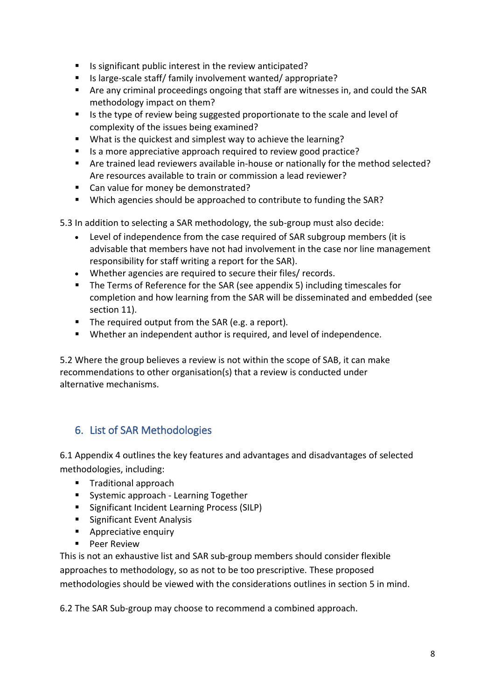- Is significant public interest in the review anticipated?
- Is large-scale staff/ family involvement wanted/ appropriate?
- Are any criminal proceedings ongoing that staff are witnesses in, and could the SAR methodology impact on them?
- Is the type of review being suggested proportionate to the scale and level of complexity of the issues being examined?
- What is the quickest and simplest way to achieve the learning?
- Is a more appreciative approach required to review good practice?
- Are trained lead reviewers available in-house or nationally for the method selected? Are resources available to train or commission a lead reviewer?
- Can value for money be demonstrated?
- Which agencies should be approached to contribute to funding the SAR?

5.3 In addition to selecting a SAR methodology, the sub-group must also decide:

- Level of independence from the case required of SAR subgroup members (it is advisable that members have not had involvement in the case nor line management responsibility for staff writing a report for the SAR).
- Whether agencies are required to secure their files/ records.
- The Terms of Reference for the SAR (see appendix 5) including timescales for completion and how learning from the SAR will be disseminated and embedded (see section 11).
- The required output from the SAR (e.g. a report).
- Whether an independent author is required, and level of independence.

5.2 Where the group believes a review is not within the scope of SAB, it can make recommendations to other organisation(s) that a review is conducted under alternative mechanisms.

#### <span id="page-7-0"></span>6. List of SAR Methodologies

6.1 Appendix 4 outlines the key features and advantages and disadvantages of selected methodologies, including:

- Traditional approach
- Systemic approach Learning Together
- Significant Incident Learning Process (SILP)
- Significant Event Analysis
- Appreciative enquiry
- Peer Review

This is not an exhaustive list and SAR sub-group members should consider flexible approaches to methodology, so as not to be too prescriptive. These proposed methodologies should be viewed with the considerations outlines in section 5 in mind.

6.2 The SAR Sub-group may choose to recommend a combined approach.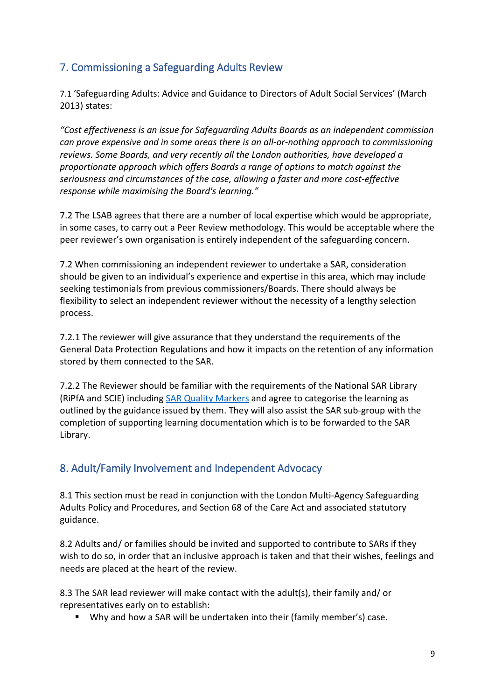# <span id="page-8-0"></span>7. Commissioning a Safeguarding Adults Review

7.1 'Safeguarding Adults: Advice and Guidance to Directors of Adult Social Services' (March 2013) states:

*"Cost effectiveness is an issue for Safeguarding Adults Boards as an independent commission can prove expensive and in some areas there is an all‐or‐nothing approach to commissioning reviews. Some Boards, and very recently all the London authorities, have developed a proportionate approach which offers Boards a range of options to match against the seriousness and circumstances of the case, allowing a faster and more cost-effective response while maximising the Board's learning."* 

7.2 The LSAB agrees that there are a number of local expertise which would be appropriate, in some cases, to carry out a Peer Review methodology. This would be acceptable where the peer reviewer's own organisation is entirely independent of the safeguarding concern.

7.2 When commissioning an independent reviewer to undertake a SAR, consideration should be given to an individual's experience and expertise in this area, which may include seeking testimonials from previous commissioners/Boards. There should always be flexibility to select an independent reviewer without the necessity of a lengthy selection process.

7.2.1 The reviewer will give assurance that they understand the requirements of the General Data Protection Regulations and how it impacts on the retention of any information stored by them connected to the SAR.

7.2.2 The Reviewer should be familiar with the requirements of the National SAR Library (RiPfA and SCIE) including [SAR Quality](https://www.scie.org.uk/safeguarding/adults/reviews/library/project) Markers and agree to categorise the learning as outlined by the guidance issued by them. They will also assist the SAR sub-group with the completion of supporting learning documentation which is to be forwarded to the SAR Library.

#### <span id="page-8-1"></span>8. Adult/Family Involvement and Independent Advocacy

8.1 This section must be read in conjunction with the London Multi-Agency Safeguarding Adults Policy and Procedures, and Section 68 of the Care Act and associated statutory guidance.

8.2 Adults and/ or families should be invited and supported to contribute to SARs if they wish to do so, in order that an inclusive approach is taken and that their wishes, feelings and needs are placed at the heart of the review.

8.3 The SAR lead reviewer will make contact with the adult(s), their family and/ or representatives early on to establish:

■ Why and how a SAR will be undertaken into their (family member's) case.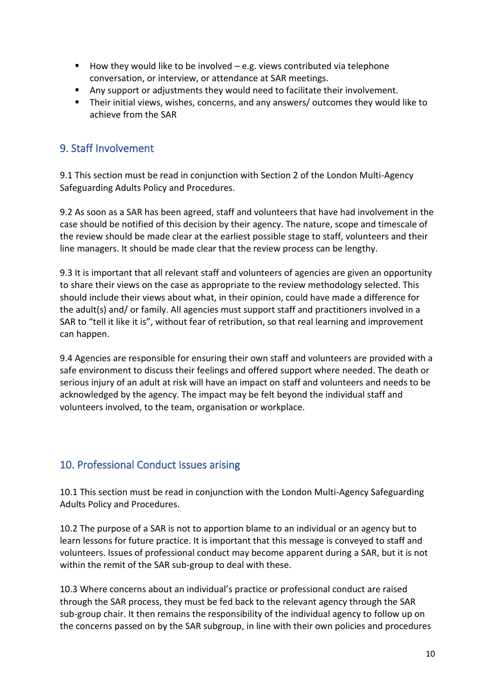- $\blacksquare$  How they would like to be involved  $-$  e.g. views contributed via telephone conversation, or interview, or attendance at SAR meetings.
- Any support or adjustments they would need to facilitate their involvement.
- Their initial views, wishes, concerns, and any answers/ outcomes they would like to achieve from the SAR

#### <span id="page-9-0"></span>9. Staff Involvement

9.1 This section must be read in conjunction with Section 2 of the London Multi-Agency Safeguarding Adults Policy and Procedures.

9.2 As soon as a SAR has been agreed, staff and volunteers that have had involvement in the case should be notified of this decision by their agency. The nature, scope and timescale of the review should be made clear at the earliest possible stage to staff, volunteers and their line managers. It should be made clear that the review process can be lengthy.

9.3 It is important that all relevant staff and volunteers of agencies are given an opportunity to share their views on the case as appropriate to the review methodology selected. This should include their views about what, in their opinion, could have made a difference for the adult(s) and/ or family. All agencies must support staff and practitioners involved in a SAR to "tell it like it is", without fear of retribution, so that real learning and improvement can happen.

9.4 Agencies are responsible for ensuring their own staff and volunteers are provided with a safe environment to discuss their feelings and offered support where needed. The death or serious injury of an adult at risk will have an impact on staff and volunteers and needs to be acknowledged by the agency. The impact may be felt beyond the individual staff and volunteers involved, to the team, organisation or workplace.

#### <span id="page-9-1"></span>10. Professional Conduct Issues arising

10.1 This section must be read in conjunction with the London Multi-Agency Safeguarding Adults Policy and Procedures.

10.2 The purpose of a SAR is not to apportion blame to an individual or an agency but to learn lessons for future practice. It is important that this message is conveyed to staff and volunteers. Issues of professional conduct may become apparent during a SAR, but it is not within the remit of the SAR sub-group to deal with these.

10.3 Where concerns about an individual's practice or professional conduct are raised through the SAR process, they must be fed back to the relevant agency through the SAR sub-group chair. It then remains the responsibility of the individual agency to follow up on the concerns passed on by the SAR subgroup, in line with their own policies and procedures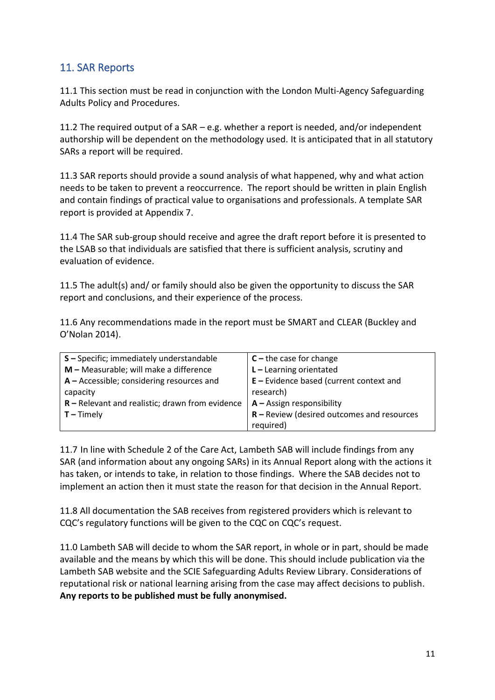#### <span id="page-10-0"></span>11. SAR Reports

11.1 This section must be read in conjunction with the London Multi-Agency Safeguarding Adults Policy and Procedures.

11.2 The required output of a SAR – e.g. whether a report is needed, and/or independent authorship will be dependent on the methodology used. It is anticipated that in all statutory SARs a report will be required.

11.3 SAR reports should provide a sound analysis of what happened, why and what action needs to be taken to prevent a reoccurrence. The report should be written in plain English and contain findings of practical value to organisations and professionals. A template SAR report is provided at Appendix 7.

11.4 The SAR sub-group should receive and agree the draft report before it is presented to the LSAB so that individuals are satisfied that there is sufficient analysis, scrutiny and evaluation of evidence.

11.5 The adult(s) and/ or family should also be given the opportunity to discuss the SAR report and conclusions, and their experience of the process.

11.6 Any recommendations made in the report must be SMART and CLEAR (Buckley and O'Nolan 2014).

| S-Specific; immediately understandable            | $C$ – the case for change                    |
|---------------------------------------------------|----------------------------------------------|
| $M$ – Measurable; will make a difference          | $L$ – Learning orientated                    |
| $A -$ Accessible; considering resources and       | $E$ – Evidence based (current context and    |
| capacity                                          | research)                                    |
| $R$ – Relevant and realistic; drawn from evidence | $A -$ Assign responsibility                  |
| $\vert$ T – Timely                                | $R$ – Review (desired outcomes and resources |
|                                                   | required)                                    |

11.7 In line with Schedule 2 of the Care Act, Lambeth SAB will include findings from any SAR (and information about any ongoing SARs) in its Annual Report along with the actions it has taken, or intends to take, in relation to those findings. Where the SAB decides not to implement an action then it must state the reason for that decision in the Annual Report.

11.8 All documentation the SAB receives from registered providers which is relevant to CQC's regulatory functions will be given to the CQC on CQC's request.

11.0 Lambeth SAB will decide to whom the SAR report, in whole or in part, should be made available and the means by which this will be done. This should include publication via the Lambeth SAB website and the SCIE Safeguarding Adults Review Library. Considerations of reputational risk or national learning arising from the case may affect decisions to publish. **Any reports to be published must be fully anonymised.**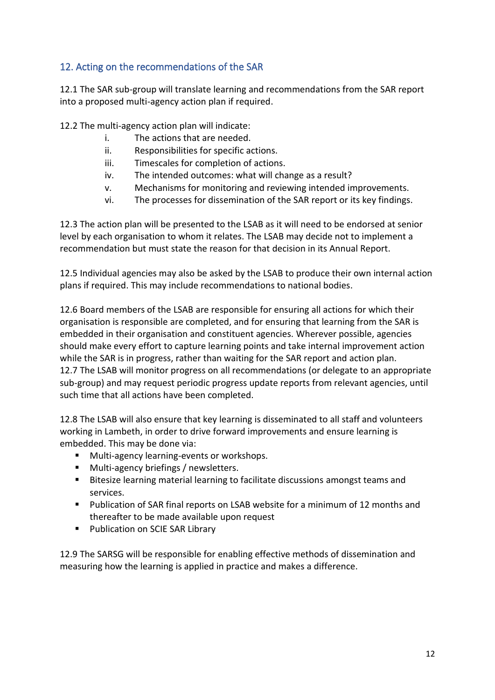#### <span id="page-11-0"></span>12. Acting on the recommendations of the SAR

12.1 The SAR sub-group will translate learning and recommendations from the SAR report into a proposed multi-agency action plan if required.

12.2 The multi-agency action plan will indicate:

- i. The actions that are needed.
- ii. Responsibilities for specific actions.
- iii. Timescales for completion of actions.
- iv. The intended outcomes: what will change as a result?
- v. Mechanisms for monitoring and reviewing intended improvements.
- vi. The processes for dissemination of the SAR report or its key findings.

12.3 The action plan will be presented to the LSAB as it will need to be endorsed at senior level by each organisation to whom it relates. The LSAB may decide not to implement a recommendation but must state the reason for that decision in its Annual Report.

12.5 Individual agencies may also be asked by the LSAB to produce their own internal action plans if required. This may include recommendations to national bodies.

12.6 Board members of the LSAB are responsible for ensuring all actions for which their organisation is responsible are completed, and for ensuring that learning from the SAR is embedded in their organisation and constituent agencies. Wherever possible, agencies should make every effort to capture learning points and take internal improvement action while the SAR is in progress, rather than waiting for the SAR report and action plan. 12.7 The LSAB will monitor progress on all recommendations (or delegate to an appropriate sub-group) and may request periodic progress update reports from relevant agencies, until such time that all actions have been completed.

12.8 The LSAB will also ensure that key learning is disseminated to all staff and volunteers working in Lambeth, in order to drive forward improvements and ensure learning is embedded. This may be done via:

- Multi-agency learning-events or workshops.
- Multi-agency briefings / newsletters.
- Bitesize learning material learning to facilitate discussions amongst teams and services.
- Publication of SAR final reports on LSAB website for a minimum of 12 months and thereafter to be made available upon request
- Publication on SCIE SAR Library

12.9 The SARSG will be responsible for enabling effective methods of dissemination and measuring how the learning is applied in practice and makes a difference.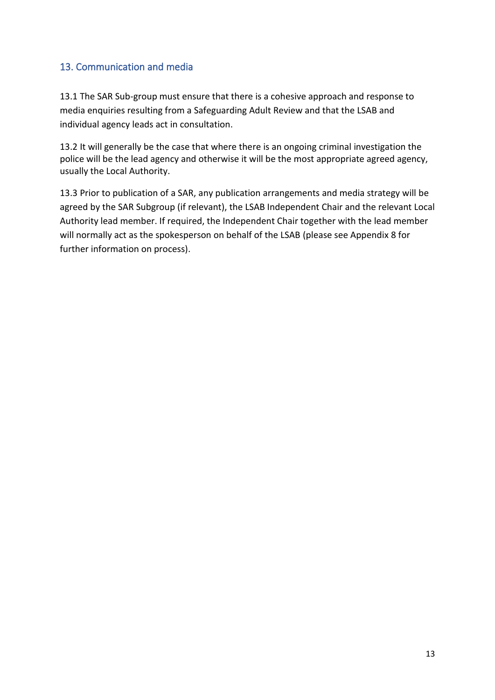#### <span id="page-12-0"></span>13. Communication and media

13.1 The SAR Sub-group must ensure that there is a cohesive approach and response to media enquiries resulting from a Safeguarding Adult Review and that the LSAB and individual agency leads act in consultation.

13.2 It will generally be the case that where there is an ongoing criminal investigation the police will be the lead agency and otherwise it will be the most appropriate agreed agency, usually the Local Authority.

13.3 Prior to publication of a SAR, any publication arrangements and media strategy will be agreed by the SAR Subgroup (if relevant), the LSAB Independent Chair and the relevant Local Authority lead member. If required, the Independent Chair together with the lead member will normally act as the spokesperson on behalf of the LSAB (please see Appendix 8 for further information on process).